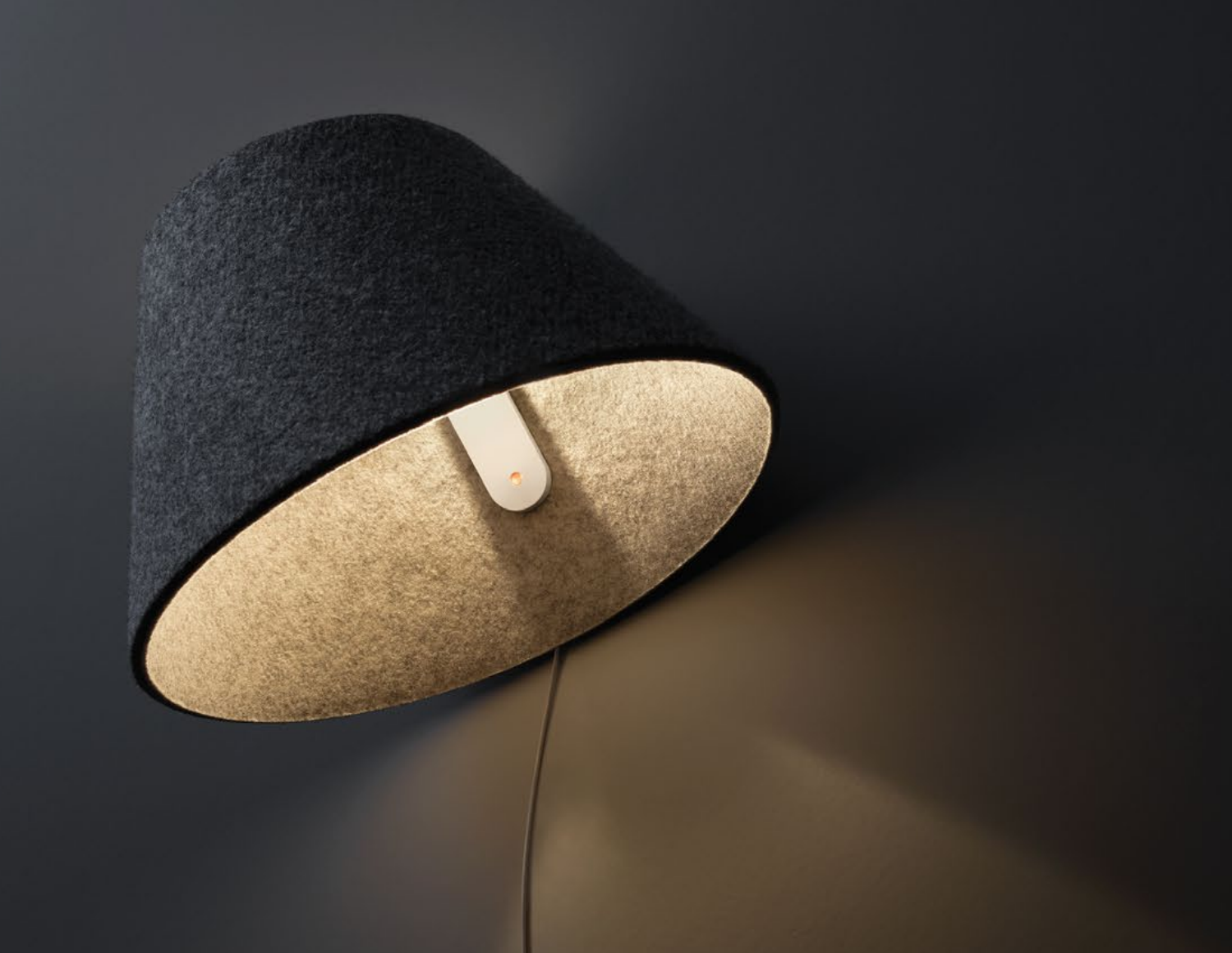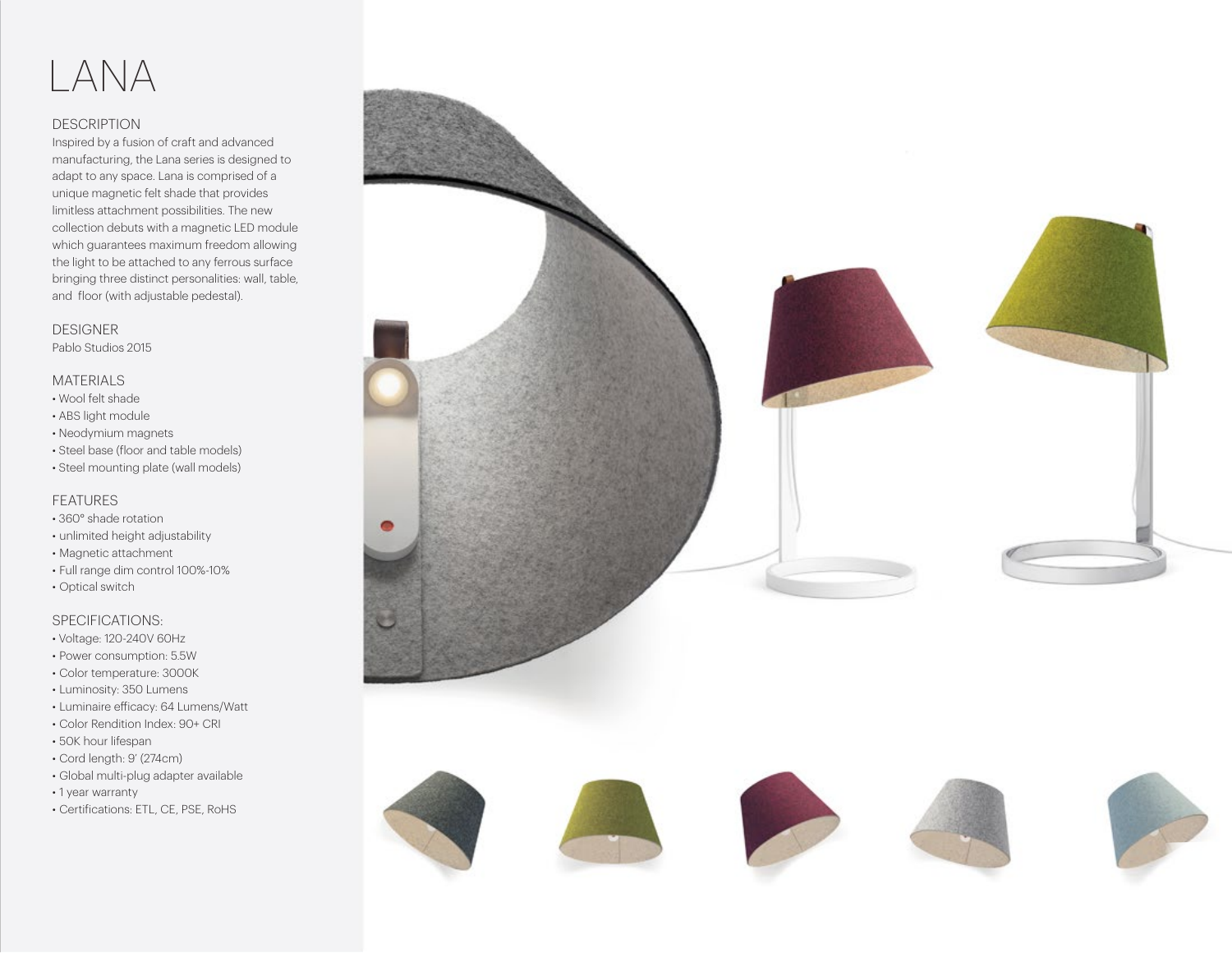

#### **DESCRIPTION**

Inspired by a fusion of craft and advanced manufacturing, the Lana series is designed to adapt to any space. Lana is comprised of a unique magnetic felt shade that provides limitless attachment possibilities. The new collection debuts with a magnetic LED module which guarantees maximum freedom allowing the light to be attached to any ferrous surface bringing three distinct personalities: wall, table, and floor (with adjustable pedestal).

# **DESIGNER**

Pablo Studios 2015

#### MATERIALS

- Wool felt shade
- ABS light module
- Neodymium magnets
- Steel base (floor and table models)
- Steel mounting plate (wall models)

### FEATURES

- 360° shade rotation
- unlimited height adjustability
- Magnetic attachment
- Full range dim control 100%-10%
- Optical switch

#### SPECIFICATIONS:

- Voltage: 120-240V 60Hz
- Power consumption: 5.5W
- Color temperature: 3000K
- Luminosity: 350 Lumens
- Luminaire efficacy: 64 Lumens/Watt
- Color Rendition Index: 90+ CRI
- 50K hour lifespan
- Cord length: 9' (274cm)
- Global multi-plug adapter available
- 1 year warranty
- Certifications: ETL, CE, PSE, RoHS